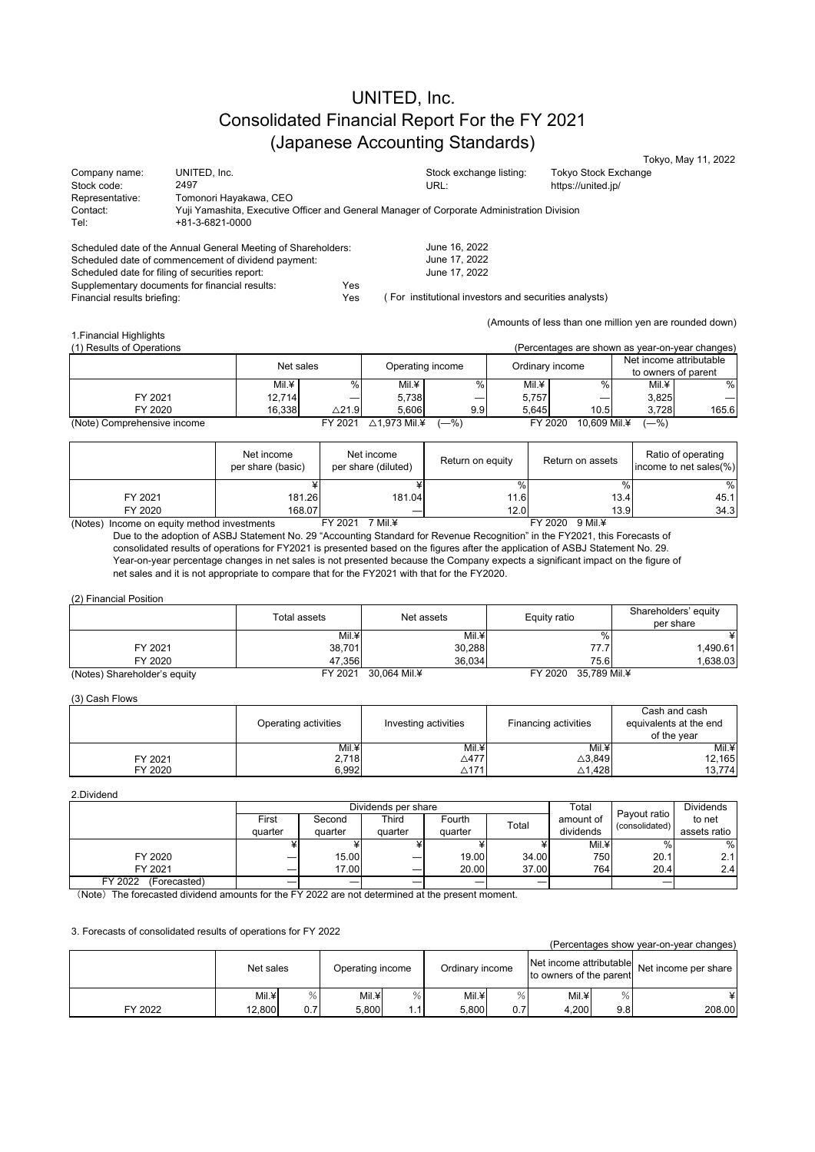# UNITED, Inc. Consolidated Financial Report For the FY 2021 (Japanese Accounting Standards)

|                                                               |                        |                                                                                            |                  |                         |                                                       |                 |                                                 |        | Tokyo, May 11, 2022                                     |
|---------------------------------------------------------------|------------------------|--------------------------------------------------------------------------------------------|------------------|-------------------------|-------------------------------------------------------|-----------------|-------------------------------------------------|--------|---------------------------------------------------------|
| Company name:                                                 | UNITED, Inc.           |                                                                                            |                  |                         | Stock exchange listing:                               |                 | Tokyo Stock Exchange                            |        |                                                         |
| Stock code:                                                   | 2497                   |                                                                                            |                  |                         | URL:                                                  |                 | https://united.jp/                              |        |                                                         |
| Representative:                                               | Tomonori Hayakawa, CEO |                                                                                            |                  |                         |                                                       |                 |                                                 |        |                                                         |
| Contact:                                                      |                        | Yuji Yamashita, Executive Officer and General Manager of Corporate Administration Division |                  |                         |                                                       |                 |                                                 |        |                                                         |
| Tel:                                                          | +81-3-6821-0000        |                                                                                            |                  |                         |                                                       |                 |                                                 |        |                                                         |
|                                                               |                        |                                                                                            |                  |                         |                                                       |                 |                                                 |        |                                                         |
| Scheduled date of the Annual General Meeting of Shareholders: |                        |                                                                                            |                  |                         | June 16, 2022                                         |                 |                                                 |        |                                                         |
| Scheduled date of commencement of dividend payment:           |                        |                                                                                            |                  |                         | June 17, 2022                                         |                 |                                                 |        |                                                         |
| Scheduled date for filing of securities report:               |                        |                                                                                            |                  |                         | June 17, 2022                                         |                 |                                                 |        |                                                         |
| Supplementary documents for financial results:                |                        |                                                                                            | Yes              |                         |                                                       |                 |                                                 |        |                                                         |
| Financial results briefing:                                   |                        |                                                                                            | Yes              |                         | (For institutional investors and securities analysts) |                 |                                                 |        |                                                         |
|                                                               |                        |                                                                                            |                  |                         |                                                       |                 |                                                 |        |                                                         |
|                                                               |                        |                                                                                            |                  |                         |                                                       |                 |                                                 |        | (Amounts of less than one million yen are rounded down) |
| 1. Financial Highlights                                       |                        |                                                                                            |                  |                         |                                                       |                 |                                                 |        |                                                         |
| (1) Results of Operations                                     |                        |                                                                                            |                  |                         |                                                       |                 | (Percentages are shown as year-on-year changes) |        |                                                         |
|                                                               |                        |                                                                                            |                  |                         |                                                       |                 |                                                 |        |                                                         |
|                                                               |                        | Net sales                                                                                  |                  |                         | Operating income                                      | Ordinary income |                                                 |        | Net income attributable                                 |
|                                                               |                        |                                                                                            |                  |                         |                                                       |                 |                                                 |        | to owners of parent                                     |
|                                                               |                        | Mil.¥                                                                                      | $\%$             | Mil.¥                   | %                                                     | Mil.¥           | $\frac{0}{0}$                                   | Mil.¥  | $\%$                                                    |
| FY 2021                                                       |                        | 12,714                                                                                     |                  | 5,738                   |                                                       | 5,757           |                                                 | 3,825  |                                                         |
| FY 2020                                                       |                        | 16,338                                                                                     | $\triangle$ 21.9 | 5,606                   | 9.9                                                   | 5,645           | 10.5                                            | 3,728  | 165.6                                                   |
| (Note) Comprehensive income                                   |                        |                                                                                            | FY 2021          | $\triangle$ 1,973 Mil.¥ | $-$ %)                                                | FY 2020         | 10,609 Mil.¥                                    | $-$ %) |                                                         |

|                                             | Net income<br>per share (basic) | Net income<br>per share (diluted) | Return on equity | Return on assets | Ratio of operating<br>income to net sales(%) |
|---------------------------------------------|---------------------------------|-----------------------------------|------------------|------------------|----------------------------------------------|
|                                             |                                 |                                   | $\%$ .           | $\%$             | %                                            |
| FY 2021                                     | 181.26                          | 181.04                            | 11.6             | 13.4             | 45.1                                         |
| FY 2020                                     | 168.07                          |                                   | 12.0             | 13.9             | 34.3                                         |
| (Notes) Income on equity method investments |                                 | 7 Mil.¥<br>FY 2021                |                  | FY 2020 9 Mil.¥  |                                              |

Due to the adoption of ASBJ Statement No. 29 "Accounting Standard for Revenue Recognition" in the FY2021, this Forecasts of consolidated results of operations for FY2021 is presented based on the figures after the application of ASBJ Statement No. 29. Year-on-year percentage changes in net sales is not presented because the Company expects a significant impact on the figure of net sales and it is not appropriate to compare that for the FY2021 with that for the FY2020.

### (2) Financial Position

|                              | Total assets | Net assets   | Equity ratio            | Shareholders' equity<br>per share |
|------------------------------|--------------|--------------|-------------------------|-----------------------------------|
|                              | Mil.¥        | Mil.¥        |                         |                                   |
| FY 2021                      | 38,701       | 30,288       | 77.7                    | .490.61                           |
| FY 2020                      | 47.356       | 36.034       | 75.6                    | 0.638.03                          |
| (Notes) Shareholder's equity | FY 2021      | 30.064 Mil.¥ | 35.789 Mil.¥<br>FY 2020 |                                   |

### (3) Cash Flows

|         | Operating activities | Investing activities | Financing activities | Cash and cash<br>equivalents at the end<br>of the vear |
|---------|----------------------|----------------------|----------------------|--------------------------------------------------------|
|         | Mil.¥                | Mil.¥                | Mil.¥                | Mil.¥                                                  |
| FY 2021 | 2,718                | $\triangle$ 477      | $\triangle 3,849$    | 12,165                                                 |
| FY 2020 | 6.992                | $\triangle$ 171      | $\triangle$ 1.428    | 13,774                                                 |

#### 2.Dividend

|                         |         | Dividends per share |              |         |       |            |                                | <b>Dividends</b> |
|-------------------------|---------|---------------------|--------------|---------|-------|------------|--------------------------------|------------------|
|                         | First   | Second              | <b>Third</b> | Fourth  | Total | amount of  | Pavout ratio<br>(consolidated) | to net           |
|                         | quarter | quarter             | quarter      | quarter |       | dividends  |                                | assets ratio     |
|                         |         |                     |              |         |       | Mil.¥      | $\%$                           | %                |
| FY 2020                 | –       | 15.00               | –            | 19.00   | 34.00 | <b>750</b> | 20.1                           | 2.1              |
| FY 2021                 | –       | 17.00               |              | 20.00   | 37.00 | 764        | 20.4                           | 2.4              |
| FY 2022<br>(Forecasted) |         | _                   |              | _       | –     |            | –                              |                  |

(Note)The forecasted dividend amounts for the FY 2022 are not determined at the present moment.

### 3. Forecasts of consolidated results of operations for FY 2022

|         |           |     |                  |      |                 |     |                                                    |     | (Percentages show year-on-year changes) |
|---------|-----------|-----|------------------|------|-----------------|-----|----------------------------------------------------|-----|-----------------------------------------|
|         | Net sales |     | Operating income |      | Ordinary income |     | Net income attributable<br>to owners of the parent |     | Net income per share                    |
|         | Mil.¥     | %   | Mil.¥            | %    | Mil.¥           |     | Mil.¥                                              | %   |                                         |
| FY 2022 | 12,800    | 0.7 | 5.800            | 1.1، | 5.800           | 0.7 | 4.200                                              | 9.8 | 208.00                                  |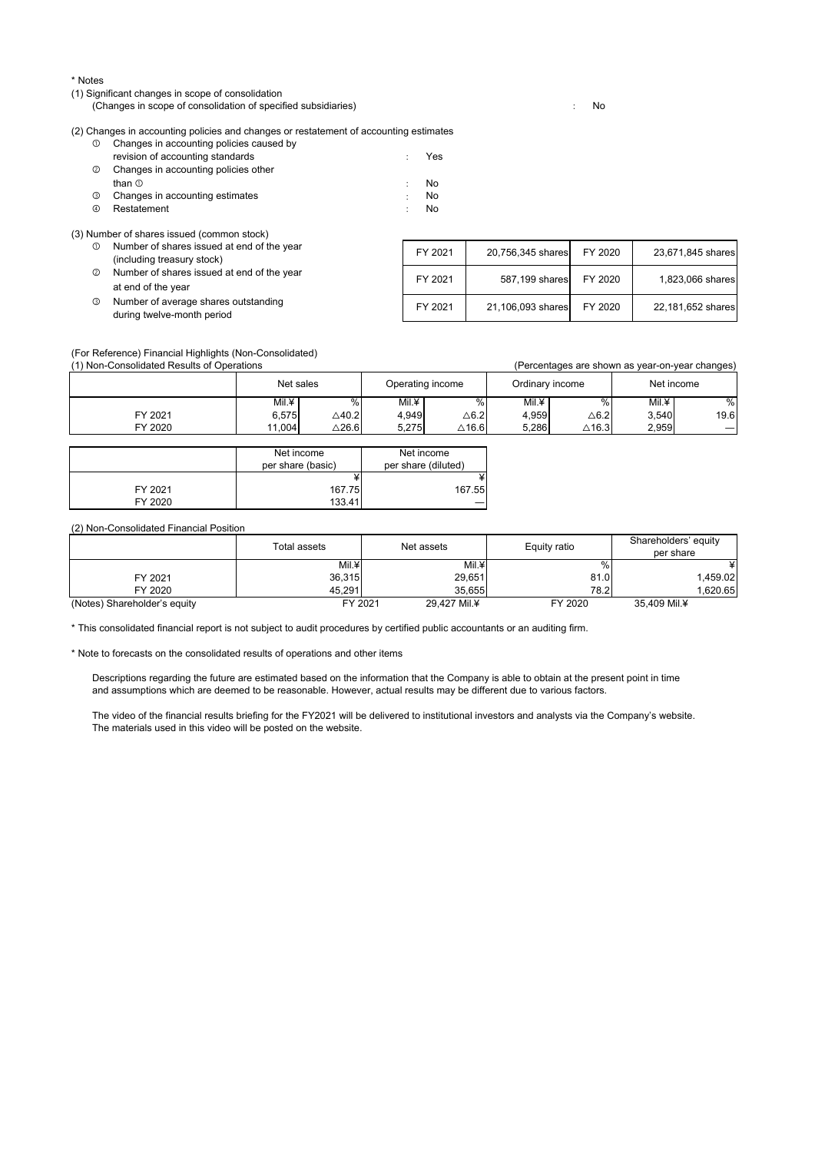### \* Notes

(1) Significant changes in scope of consolidation

(Changes in scope of consolidation of specified subsidiaries) : No

(2) Changes in accounting policies and changes or restatement of accounting estimates

| $^{\circ}$ | Changes in accounting policies caused by |   |     |
|------------|------------------------------------------|---|-----|
|            | revision of accounting standards         |   | Yes |
| $^{\circ}$ | Changes in accounting policies other     |   |     |
|            | than $\circledcirc$                      |   | No. |
| ⊚          | Changes in accounting estimates          | ÷ | No. |
| 4          | Restatement                              |   | No. |
|            |                                          |   |     |

(3) Number of shares issued (common stock)

- ① Number of shares issued at end of the year (including treasury stock) ② Number of shares issued at end of the year at end of the year
- ③ Number of average shares outstanding during twelve-month period

| FY 2021 | 20,756,345 shares | FY 2020 | 23,671,845 shares |
|---------|-------------------|---------|-------------------|
| FY 2021 | 587,199 shares    | FY 2020 | 1,823,066 shares  |
| FY 2021 | 21,106,093 shares | FY 2020 | 22,181,652 shares |

(For Reference) Financial Highlights (Non-Consolidated)

| (1) Non-Consolidated Results of Operations |           |                  |       |                  |                 |                  | (Percentages are shown as year-on-year changes) |            |
|--------------------------------------------|-----------|------------------|-------|------------------|-----------------|------------------|-------------------------------------------------|------------|
|                                            | Net sales |                  |       | Operating income | Ordinary income |                  |                                                 | Net income |
|                                            | Mil.¥     | $\%$             | Mil.¥ | $\%$             | Mil.¥           |                  | Mil.¥                                           | %          |
| FY 2021                                    | 6.575     | $\triangle$ 40.2 | 4.949 | $\triangle$ 6.2  | 4.959           | $\triangle$ 6.2  | 3.540                                           | 19.6       |
| FY 2020                                    | 11.004    | $\triangle$ 26.6 | 5.275 | $\triangle$ 16.6 | 5.286           | $\triangle$ 16.3 | 2,959                                           |            |

|         | Net income        | Net income          |
|---------|-------------------|---------------------|
|         | per share (basic) | per share (diluted) |
|         |                   |                     |
| FY 2021 | 167.75            | 167.55              |
| FY 2020 | 133.41            |                     |

(2) Non-Consolidated Financial Position

|                              | Total assets | Net assets   | Equity ratio | Shareholders' equity<br>per share |
|------------------------------|--------------|--------------|--------------|-----------------------------------|
|                              | Mil.¥        | Mil.¥        |              |                                   |
| FY 2021                      | 36,315       | 29,651       | 81.0         | 1.459.02                          |
| FY 2020                      | 45.291       | 35.655       | 78.21        | .620.65                           |
| (Notes) Shareholder's equity | FY 2021      | 29.427 Mil.¥ | FY 2020      | 35.409 Mil.¥                      |

\* This consolidated financial report is not subject to audit procedures by certified public accountants or an auditing firm.

\* Note to forecasts on the consolidated results of operations and other items

Descriptions regarding the future are estimated based on the information that the Company is able to obtain at the present point in time and assumptions which are deemed to be reasonable. However, actual results may be different due to various factors.

The video of the financial results briefing for the FY2021 will be delivered to institutional investors and analysts via the Company's website. The materials used in this video will be posted on the website.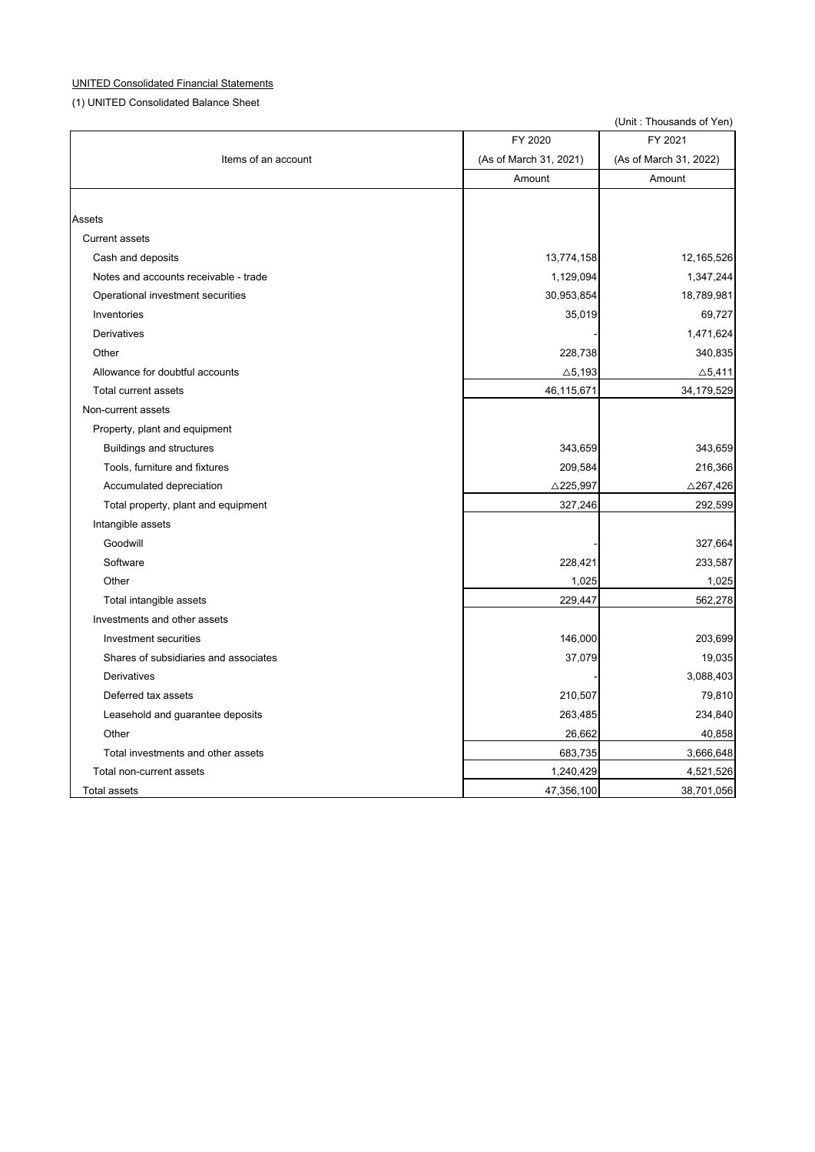# UNITED Consolidated Financial Statements

(1) UNITED Consolidated Balance Sheet

|                                       |                        | (Unit: Thousands of Yen) |
|---------------------------------------|------------------------|--------------------------|
|                                       | FY 2020                | FY 2021                  |
| Items of an account                   | (As of March 31, 2021) | (As of March 31, 2022)   |
|                                       | Amount                 | Amount                   |
| Assets                                |                        |                          |
| <b>Current assets</b>                 |                        |                          |
|                                       |                        |                          |
| Cash and deposits                     | 13,774,158             | 12,165,526               |
| Notes and accounts receivable - trade | 1,129,094              | 1,347,244                |
| Operational investment securities     | 30,953,854             | 18,789,981               |
| Inventories                           | 35,019                 | 69,727                   |
| <b>Derivatives</b>                    |                        | 1,471,624                |
| Other                                 | 228,738                | 340,835                  |
| Allowance for doubtful accounts       | $\triangle$ 5,193      | $\triangle$ 5,411        |
| Total current assets                  | 46,115,671             | 34,179,529               |
| Non-current assets                    |                        |                          |
| Property, plant and equipment         |                        |                          |
| <b>Buildings and structures</b>       | 343,659                | 343,659                  |
| Tools, furniture and fixtures         | 209,584                | 216,366                  |
| Accumulated depreciation              | $\triangle$ 225,997    | $\triangle$ 267,426      |
| Total property, plant and equipment   | 327,246                | 292,599                  |
| Intangible assets                     |                        |                          |
| Goodwill                              |                        | 327,664                  |
| Software                              | 228,421                | 233,587                  |
| Other                                 | 1,025                  | 1,025                    |
| Total intangible assets               | 229,447                | 562,278                  |
| Investments and other assets          |                        |                          |
| Investment securities                 | 146,000                | 203,699                  |
| Shares of subsidiaries and associates | 37,079                 | 19,035                   |
| Derivatives                           |                        | 3,088,403                |
| Deferred tax assets                   | 210,507                | 79,810                   |
| Leasehold and guarantee deposits      | 263,485                | 234,840                  |
| Other                                 |                        |                          |
| Total investments and other assets    | 26,662                 | 40,858                   |
|                                       | 683,735                | 3,666,648                |
| Total non-current assets              | 1,240,429              | 4,521,526                |
| Total assets                          | 47,356,100             | 38,701,056               |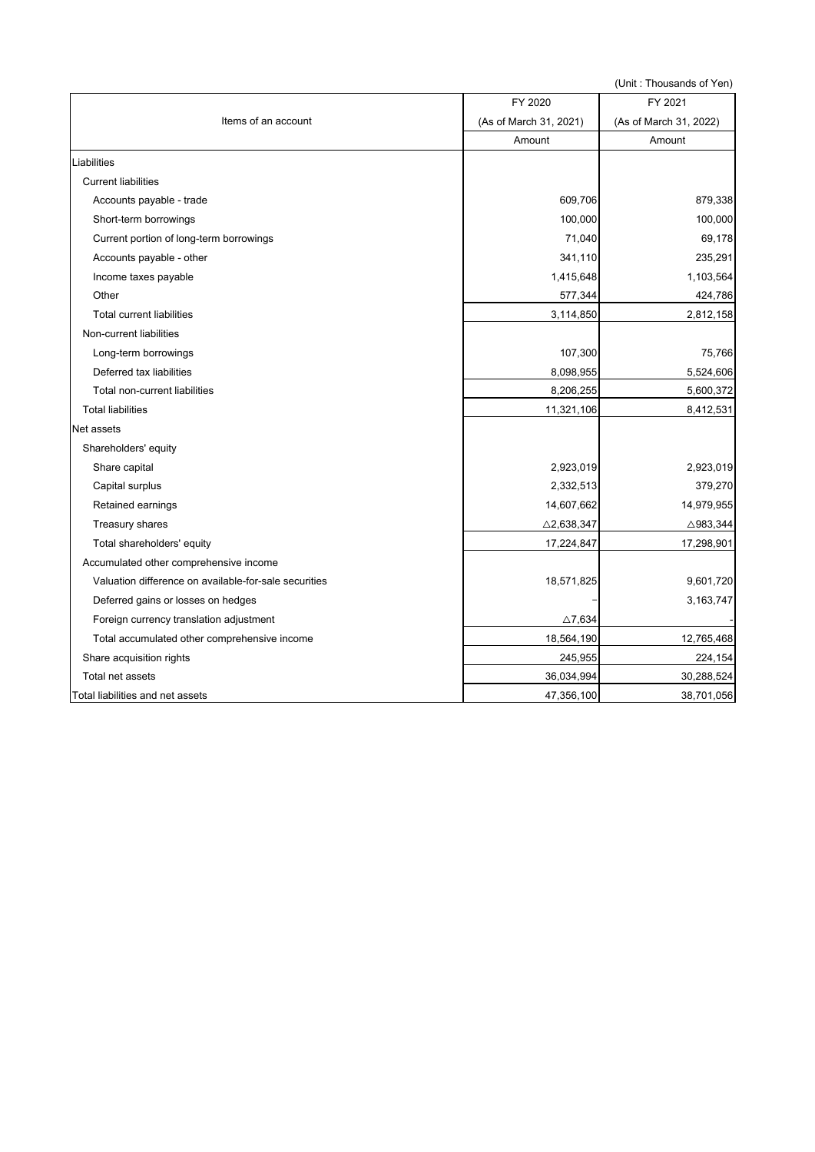|                                                       |                        | (UIIII. IIIUusanus UI I UII <sub>)</sub> |
|-------------------------------------------------------|------------------------|------------------------------------------|
|                                                       | FY 2020                | FY 2021                                  |
| Items of an account                                   | (As of March 31, 2021) | (As of March 31, 2022)                   |
|                                                       | Amount                 | Amount                                   |
| Liabilities                                           |                        |                                          |
| <b>Current liabilities</b>                            |                        |                                          |
| Accounts payable - trade                              | 609,706                | 879,338                                  |
| Short-term borrowings                                 | 100,000                | 100,000                                  |
| Current portion of long-term borrowings               | 71,040                 | 69,178                                   |
| Accounts payable - other                              | 341,110                | 235,291                                  |
| Income taxes payable                                  | 1,415,648              | 1,103,564                                |
| Other                                                 | 577,344                | 424,786                                  |
| <b>Total current liabilities</b>                      | 3,114,850              | 2,812,158                                |
| Non-current liabilities                               |                        |                                          |
| Long-term borrowings                                  | 107,300                | 75,766                                   |
| Deferred tax liabilities                              | 8,098,955              | 5,524,606                                |
| Total non-current liabilities                         | 8,206,255              | 5,600,372                                |
| <b>Total liabilities</b>                              | 11,321,106             | 8,412,531                                |
| Net assets                                            |                        |                                          |
| Shareholders' equity                                  |                        |                                          |
| Share capital                                         | 2,923,019              | 2,923,019                                |
| Capital surplus                                       | 2,332,513              | 379,270                                  |
| Retained earnings                                     | 14,607,662             | 14,979,955                               |
| Treasury shares                                       | $\triangle$ 2,638,347  | $\triangle$ 983,344                      |
| Total shareholders' equity                            | 17,224,847             | 17,298,901                               |
| Accumulated other comprehensive income                |                        |                                          |
| Valuation difference on available-for-sale securities | 18,571,825             | 9,601,720                                |
| Deferred gains or losses on hedges                    |                        | 3,163,747                                |
| Foreign currency translation adjustment               | $\triangle$ 7,634      |                                          |
| Total accumulated other comprehensive income          | 18,564,190             | 12,765,468                               |
| Share acquisition rights                              | 245,955                | 224,154                                  |
| Total net assets                                      | 36,034,994             | 30,288,524                               |
| Total liabilities and net assets                      | 47,356,100             | 38,701,056                               |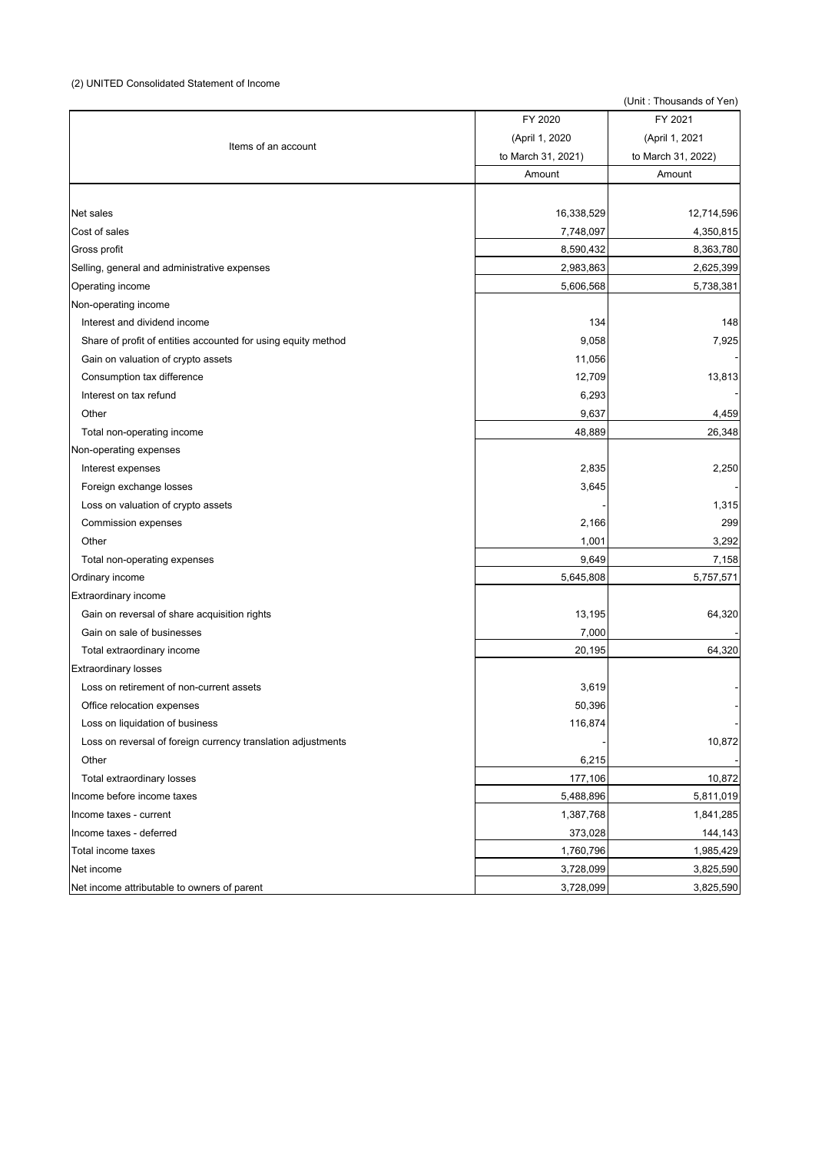# (2) UNITED Consolidated Statement of Income

|                                                               | FY 2020            | FY 2021            |
|---------------------------------------------------------------|--------------------|--------------------|
|                                                               | (April 1, 2020     | (April 1, 2021     |
| Items of an account                                           | to March 31, 2021) | to March 31, 2022) |
|                                                               | Amount             | Amount             |
|                                                               |                    |                    |
| Net sales                                                     | 16,338,529         | 12,714,596         |
| Cost of sales                                                 | 7,748,097          | 4,350,815          |
| Gross profit                                                  | 8,590,432          | 8,363,780          |
| Selling, general and administrative expenses                  | 2,983,863          | 2,625,399          |
| Operating income                                              | 5,606,568          | 5,738,381          |
| Non-operating income                                          |                    |                    |
| Interest and dividend income                                  | 134                | 148                |
| Share of profit of entities accounted for using equity method | 9,058              | 7,925              |
| Gain on valuation of crypto assets                            | 11,056             |                    |
| Consumption tax difference                                    | 12,709             | 13,813             |
| Interest on tax refund                                        | 6,293              |                    |
| Other                                                         | 9,637              | 4,459              |
| Total non-operating income                                    | 48,889             | 26,348             |
| Non-operating expenses                                        |                    |                    |
| Interest expenses                                             | 2,835              | 2,250              |
| Foreign exchange losses                                       | 3,645              |                    |
| Loss on valuation of crypto assets                            |                    | 1,315              |
| Commission expenses                                           | 2,166              | 299                |
| Other                                                         | 1,001              | 3,292              |
| Total non-operating expenses                                  | 9,649              | 7,158              |
| Ordinary income                                               | 5,645,808          | 5,757,571          |
| <b>Extraordinary income</b>                                   |                    |                    |
| Gain on reversal of share acquisition rights                  | 13,195             | 64,320             |
| Gain on sale of businesses                                    | 7,000              |                    |
| Total extraordinary income                                    | 20,195             | 64,320             |
| <b>Extraordinary losses</b>                                   |                    |                    |
| Loss on retirement of non-current assets                      | 3,619              |                    |
| Office relocation expenses                                    | 50,396             |                    |
| Loss on liquidation of business                               | 116,874            |                    |
| Loss on reversal of foreign currency translation adjustments  |                    | 10,872             |
| Other                                                         | 6,215              |                    |
| Total extraordinary losses                                    | 177,106            | 10,872             |
| Income before income taxes                                    | 5,488,896          | 5,811,019          |
| Income taxes - current                                        | 1,387,768          | 1,841,285          |
| Income taxes - deferred                                       | 373,028            | 144,143            |
| Total income taxes                                            | 1,760,796          | 1,985,429          |
| Net income                                                    | 3,728,099          | 3,825,590          |
| Net income attributable to owners of parent                   | 3,728,099          | 3,825,590          |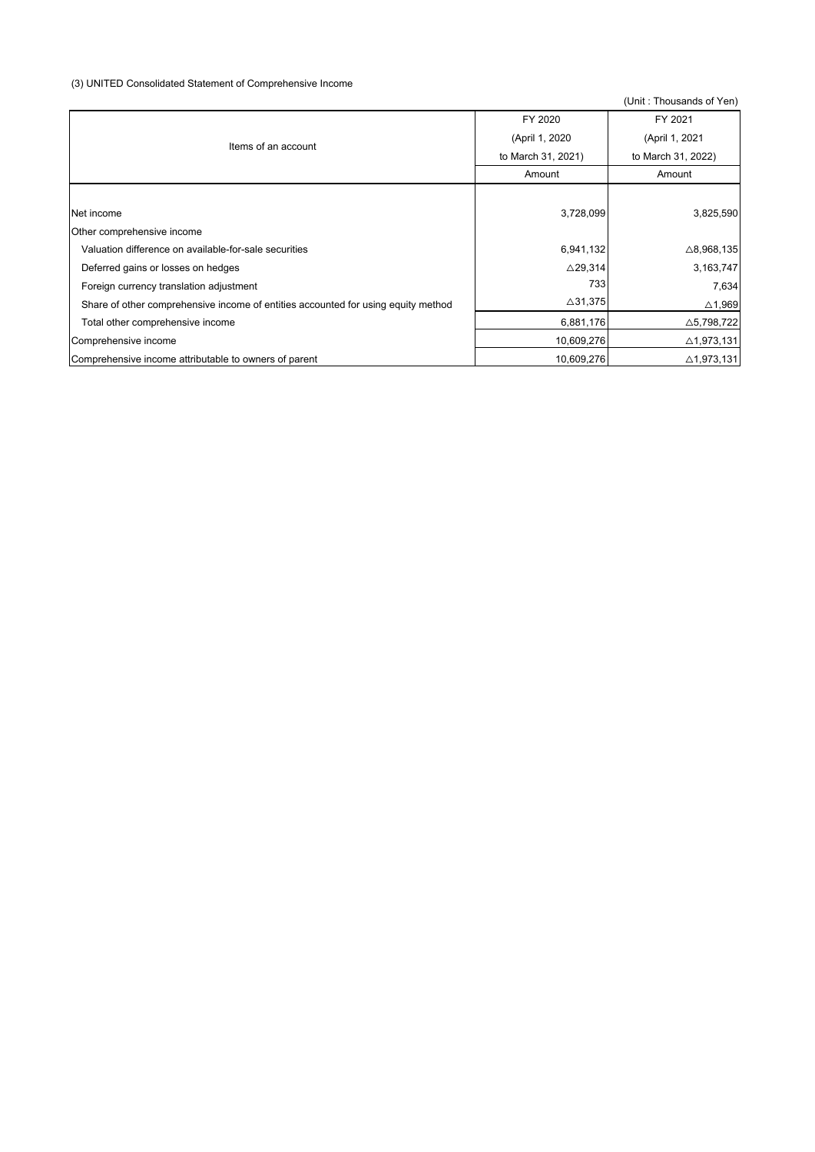# (3) UNITED Consolidated Statement of Comprehensive Income

|                                                                                   | FY 2020            | FY 2021               |  |
|-----------------------------------------------------------------------------------|--------------------|-----------------------|--|
| Items of an account                                                               | (April 1, 2020)    | (April 1, 2021        |  |
|                                                                                   | to March 31, 2021) | to March 31, 2022)    |  |
|                                                                                   | Amount             | Amount                |  |
|                                                                                   |                    |                       |  |
| Net income                                                                        | 3,728,099          | 3,825,590             |  |
| Other comprehensive income                                                        |                    |                       |  |
| Valuation difference on available-for-sale securities                             | 6,941,132          | $\triangle$ 8,968,135 |  |
| Deferred gains or losses on hedges                                                | $\triangle$ 29,314 | 3,163,747             |  |
| Foreign currency translation adjustment                                           | 733                | 7,634                 |  |
| Share of other comprehensive income of entities accounted for using equity method | $\triangle$ 31,375 | $\triangle$ 1,969     |  |
| Total other comprehensive income                                                  | 6,881,176          | $\triangle$ 5,798,722 |  |
| Comprehensive income                                                              | 10,609,276         | $\triangle$ 1,973,131 |  |
| Comprehensive income attributable to owners of parent                             | 10,609,276         | $\triangle$ 1,973,131 |  |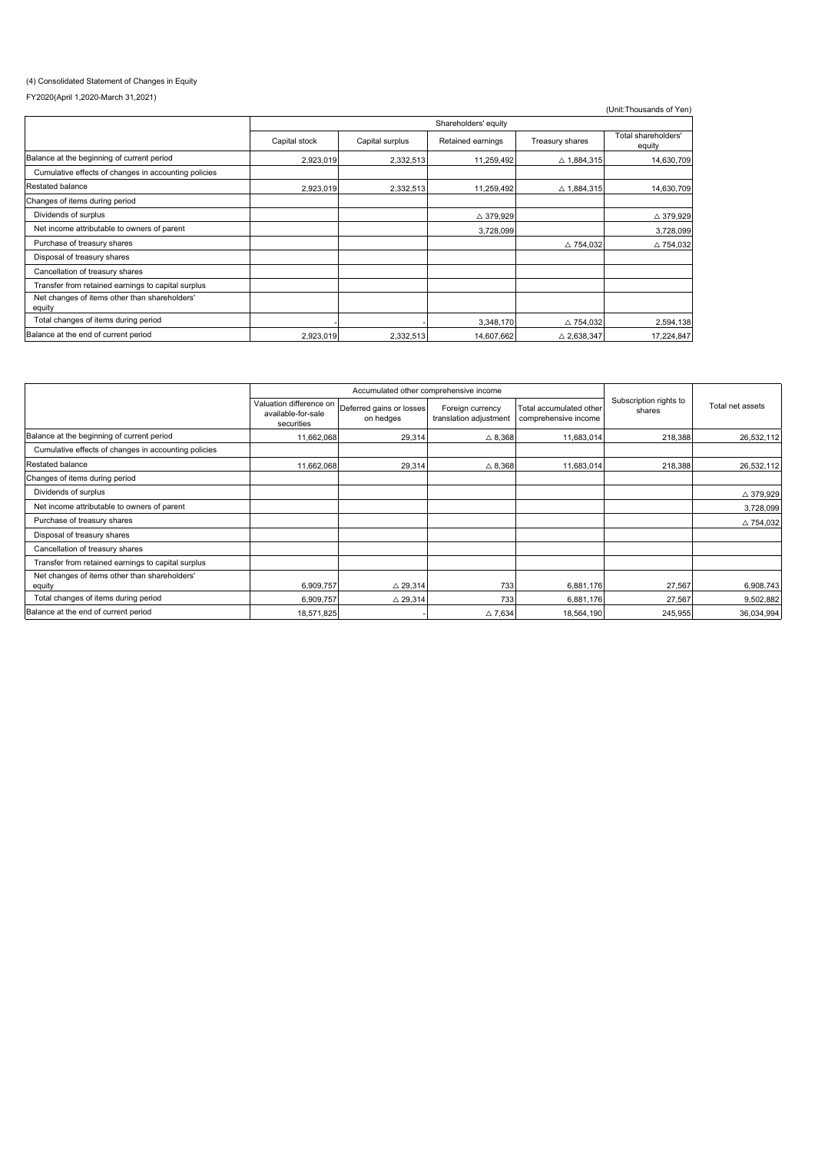### (4) Consolidated Statement of Changes in Equity

FY2020(April 1,2020-March 31,2021)

| 12020(April 1,2020-March 31,2021)                       |               |                      |                   |                       |                               |  |  |
|---------------------------------------------------------|---------------|----------------------|-------------------|-----------------------|-------------------------------|--|--|
|                                                         |               |                      |                   |                       | (Unit:Thousands of Yen)       |  |  |
|                                                         |               | Shareholders' equity |                   |                       |                               |  |  |
|                                                         | Capital stock | Capital surplus      | Retained earnings | Treasury shares       | Total shareholders'<br>equity |  |  |
| Balance at the beginning of current period              | 2,923,019     | 2,332,513            | 11,259,492        | △ 1,884,315           | 14,630,709                    |  |  |
| Cumulative effects of changes in accounting policies    |               |                      |                   |                       |                               |  |  |
| Restated balance                                        | 2,923,019     | 2,332,513            | 11,259,492        | △ 1,884,315           | 14,630,709                    |  |  |
| Changes of items during period                          |               |                      |                   |                       |                               |  |  |
| Dividends of surplus                                    |               |                      | △ 379,929         |                       | △ 379,929                     |  |  |
| Net income attributable to owners of parent             |               |                      | 3,728,099         |                       | 3,728,099                     |  |  |
| Purchase of treasury shares                             |               |                      |                   | △ 754,032             | $\triangle$ 754,032           |  |  |
| Disposal of treasury shares                             |               |                      |                   |                       |                               |  |  |
| Cancellation of treasury shares                         |               |                      |                   |                       |                               |  |  |
| Transfer from retained earnings to capital surplus      |               |                      |                   |                       |                               |  |  |
| Net changes of items other than shareholders'<br>equity |               |                      |                   |                       |                               |  |  |
| Total changes of items during period                    |               |                      | 3,348,170         | △ 754,032             | 2,594,138                     |  |  |
| Balance at the end of current period                    | 2,923,019     | 2,332,513            | 14,607,662        | $\triangle 2,638,347$ | 17,224,847                    |  |  |

|                                                         | Accumulated other comprehensive income                      |                                       |                                            |                                                 |                                  |                     |
|---------------------------------------------------------|-------------------------------------------------------------|---------------------------------------|--------------------------------------------|-------------------------------------------------|----------------------------------|---------------------|
|                                                         | Valuation difference on<br>available-for-sale<br>securities | Deferred gains or losses<br>on hedges | Foreign currency<br>translation adjustment | Total accumulated other<br>comprehensive income | Subscription rights to<br>shares | Total net assets    |
| Balance at the beginning of current period              | 11,662,068                                                  | 29,314                                | $\triangle$ 8,368                          | 11,683,014                                      | 218,388                          | 26,532,112          |
| Cumulative effects of changes in accounting policies    |                                                             |                                       |                                            |                                                 |                                  |                     |
| Restated balance                                        | 11,662,068                                                  | 29,314                                | $\triangle$ 8,368                          | 11,683,014                                      | 218,388                          | 26,532,112          |
| Changes of items during period                          |                                                             |                                       |                                            |                                                 |                                  |                     |
| Dividends of surplus                                    |                                                             |                                       |                                            |                                                 |                                  | △ 379,929           |
| Net income attributable to owners of parent             |                                                             |                                       |                                            |                                                 |                                  | 3,728,099           |
| Purchase of treasury shares                             |                                                             |                                       |                                            |                                                 |                                  | $\triangle$ 754,032 |
| Disposal of treasury shares                             |                                                             |                                       |                                            |                                                 |                                  |                     |
| Cancellation of treasury shares                         |                                                             |                                       |                                            |                                                 |                                  |                     |
| Transfer from retained earnings to capital surplus      |                                                             |                                       |                                            |                                                 |                                  |                     |
| Net changes of items other than shareholders'<br>equity | 6,909,757                                                   | $\triangle$ 29,314                    | 733                                        | 6,881,176                                       | 27,567                           | 6,908,743           |
| Total changes of items during period                    | 6,909,757                                                   | $\triangle$ 29,314                    | 733                                        | 6,881,176                                       | 27,567                           | 9,502,882           |
| Balance at the end of current period                    | 18,571,825                                                  |                                       | $\triangle$ 7,634                          | 18,564,190                                      | 245,955                          | 36,034,994          |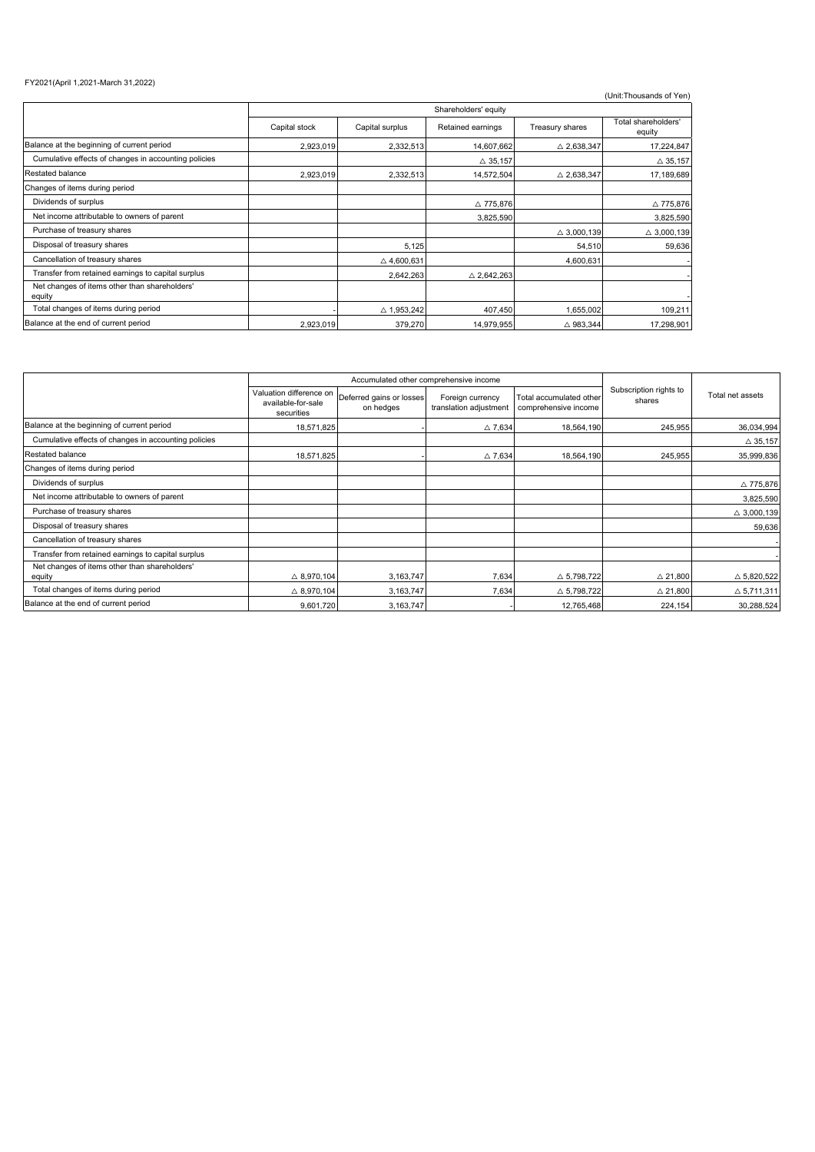### FY2021(April 1,2021-March 31,2022)

|                                                         | Shareholders' equity |                       |                       |                       |                               |  |
|---------------------------------------------------------|----------------------|-----------------------|-----------------------|-----------------------|-------------------------------|--|
|                                                         | Capital stock        | Capital surplus       | Retained earnings     | Treasury shares       | Total shareholders'<br>equity |  |
| Balance at the beginning of current period              | 2,923,019            | 2,332,513             | 14,607,662            | $\triangle$ 2,638,347 | 17,224,847                    |  |
| Cumulative effects of changes in accounting policies    |                      |                       | $\triangle$ 35,157    |                       | $\triangle$ 35,157            |  |
| Restated balance                                        | 2,923,019            | 2,332,513             | 14,572,504            | $\triangle$ 2,638,347 | 17,189,689                    |  |
| Changes of items during period                          |                      |                       |                       |                       |                               |  |
| Dividends of surplus                                    |                      |                       | △ 775,876             |                       | $\triangle$ 775,876           |  |
| Net income attributable to owners of parent             |                      |                       | 3,825,590             |                       | 3,825,590                     |  |
| Purchase of treasury shares                             |                      |                       |                       | $\triangle$ 3,000,139 | $\triangle$ 3,000,139         |  |
| Disposal of treasury shares                             |                      | 5,125                 |                       | 54,510                | 59,636                        |  |
| Cancellation of treasury shares                         |                      | $\triangle$ 4,600,631 |                       | 4,600,631             |                               |  |
| Transfer from retained earnings to capital surplus      |                      | 2,642,263             | $\triangle$ 2,642,263 |                       |                               |  |
| Net changes of items other than shareholders'<br>equity |                      |                       |                       |                       |                               |  |
| Total changes of items during period                    |                      | △ 1,953,242           | 407,450               | 1,655,002             | 109,211                       |  |
| Balance at the end of current period                    | 2,923,019            | 379,270               | 14.979.955            | $\triangle$ 983.344   | 17,298,901                    |  |

|                                                         | Accumulated other comprehensive income                      |                                       |                                            |                                                 |                                  |                       |
|---------------------------------------------------------|-------------------------------------------------------------|---------------------------------------|--------------------------------------------|-------------------------------------------------|----------------------------------|-----------------------|
|                                                         | Valuation difference on<br>available-for-sale<br>securities | Deferred gains or losses<br>on hedges | Foreign currency<br>translation adjustment | Total accumulated other<br>comprehensive income | Subscription rights to<br>shares | Total net assets      |
| Balance at the beginning of current period              | 18,571,825                                                  |                                       | $\triangle$ 7.634                          | 18,564,190                                      | 245,955                          | 36,034,994            |
| Cumulative effects of changes in accounting policies    |                                                             |                                       |                                            |                                                 |                                  | $\triangle$ 35,157    |
| Restated balance                                        | 18,571,825                                                  |                                       | $\triangle$ 7.634                          | 18,564,190                                      | 245,955                          | 35,999,836            |
| Changes of items during period                          |                                                             |                                       |                                            |                                                 |                                  |                       |
| Dividends of surplus                                    |                                                             |                                       |                                            |                                                 |                                  | △ 775,876             |
| Net income attributable to owners of parent             |                                                             |                                       |                                            |                                                 |                                  | 3,825,590             |
| Purchase of treasury shares                             |                                                             |                                       |                                            |                                                 |                                  | $\triangle$ 3,000,139 |
| Disposal of treasury shares                             |                                                             |                                       |                                            |                                                 |                                  | 59,636                |
| Cancellation of treasury shares                         |                                                             |                                       |                                            |                                                 |                                  |                       |
| Transfer from retained earnings to capital surplus      |                                                             |                                       |                                            |                                                 |                                  |                       |
| Net changes of items other than shareholders'<br>equity | $\triangle$ 8,970,104                                       | 3,163,747                             | 7,634                                      | $\triangle$ 5,798,722                           | $\triangle$ 21,800               | $\triangle 5,820,522$ |
| Total changes of items during period                    | $\triangle$ 8,970,104                                       | 3,163,747                             | 7,634                                      | $\triangle$ 5,798,722                           | $\triangle$ 21,800               | $\triangle$ 5,711,311 |
| Balance at the end of current period                    | 9,601,720                                                   | 3,163,747                             |                                            | 12,765,468                                      | 224,154                          | 30,288,524            |